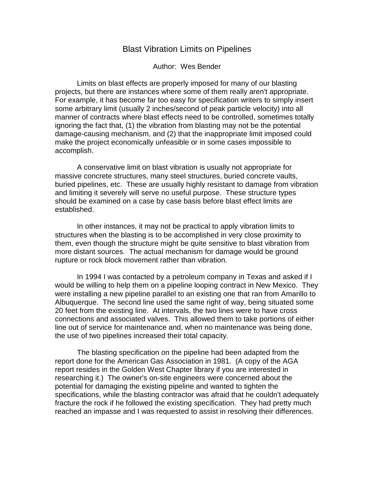## Blast Vibration Limits on Pipelines

Author: Wes Bender

Limits on blast effects are properly imposed for many of our blasting projects, but there are instances where some of them really aren't appropriate. For example, it has become far too easy for specification writers to simply insert some arbitrary limit (usually 2 inches/second of peak particle velocity) into all manner of contracts where blast effects need to be controlled, sometimes totally ignoring the fact that, (1) the vibration from blasting may not be the potential damage-causing mechanism, and (2) that the inappropriate limit imposed could make the project economically unfeasible or in some cases impossible to accomplish.

A conservative limit on blast vibration is usually not appropriate for massive concrete structures, many steel structures, buried concrete vaults, buried pipelines, etc. These are usually highly resistant to damage from vibration and limiting it severely will serve no useful purpose. These structure types should be examined on a case by case basis before blast effect limits are established.

In other instances, it may not be practical to apply vibration limits to structures when the blasting is to be accomplished in very close proximity to them, even though the structure might be quite sensitive to blast vibration from more distant sources. The actual mechanism for damage would be ground rupture or rock block movement rather than vibration.

In 1994 I was contacted by a petroleum company in Texas and asked if I would be willing to help them on a pipeline looping contract in New Mexico. They were installing a new pipeline parallel to an existing one that ran from Amarillo to Albuquerque. The second line used the same right of way, being situated some 20 feet from the existing line. At intervals, the two lines were to have cross connections and associated valves. This allowed them to take portions of either line out of service for maintenance and, when no maintenance was being done, the use of two pipelines increased their total capacity.

The blasting specification on the pipeline had been adapted from the report done for the American Gas Association in 1981. (A copy of the AGA report resides in the Golden West Chapter library if you are interested in researching it.) The owner's on-site engineers were concerned about the potential for damaging the existing pipeline and wanted to tighten the specifications, while the blasting contractor was afraid that he couldn't adequately fracture the rock if he followed the existing specification. They had pretty much reached an impasse and I was requested to assist in resolving their differences.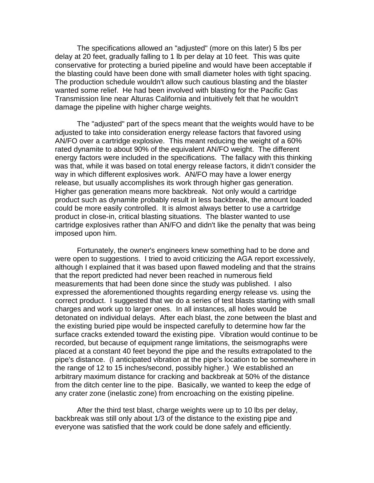The specifications allowed an "adjusted" (more on this later) 5 lbs per delay at 20 feet, gradually falling to 1 lb per delay at 10 feet. This was quite conservative for protecting a buried pipeline and would have been acceptable if the blasting could have been done with small diameter holes with tight spacing. The production schedule wouldn't allow such cautious blasting and the blaster wanted some relief. He had been involved with blasting for the Pacific Gas Transmission line near Alturas California and intuitively felt that he wouldn't damage the pipeline with higher charge weights.

The "adjusted" part of the specs meant that the weights would have to be adjusted to take into consideration energy release factors that favored using AN/FO over a cartridge explosive. This meant reducing the weight of a 60% rated dynamite to about 90% of the equivalent AN/FO weight. The different energy factors were included in the specifications. The fallacy with this thinking was that, while it was based on total energy release factors, it didn't consider the way in which different explosives work. AN/FO may have a lower energy release, but usually accomplishes its work through higher gas generation. Higher gas generation means more backbreak. Not only would a cartridge product such as dynamite probably result in less backbreak, the amount loaded could be more easily controlled. It is almost always better to use a cartridge product in close-in, critical blasting situations. The blaster wanted to use cartridge explosives rather than AN/FO and didn't like the penalty that was being imposed upon him.

Fortunately, the owner's engineers knew something had to be done and were open to suggestions. I tried to avoid criticizing the AGA report excessively, although I explained that it was based upon flawed modeling and that the strains that the report predicted had never been reached in numerous field measurements that had been done since the study was published. I also expressed the aforementioned thoughts regarding energy release vs. using the correct product. I suggested that we do a series of test blasts starting with small charges and work up to larger ones. In all instances, all holes would be detonated on individual delays. After each blast, the zone between the blast and the existing buried pipe would be inspected carefully to determine how far the surface cracks extended toward the existing pipe. Vibration would continue to be recorded, but because of equipment range limitations, the seismographs were placed at a constant 40 feet beyond the pipe and the results extrapolated to the pipe's distance. (I anticipated vibration at the pipe's location to be somewhere in the range of 12 to 15 inches/second, possibly higher.) We established an arbitrary maximum distance for cracking and backbreak at 50% of the distance from the ditch center line to the pipe. Basically, we wanted to keep the edge of any crater zone (inelastic zone) from encroaching on the existing pipeline.

After the third test blast, charge weights were up to 10 lbs per delay, backbreak was still only about 1/3 of the distance to the existing pipe and everyone was satisfied that the work could be done safely and efficiently.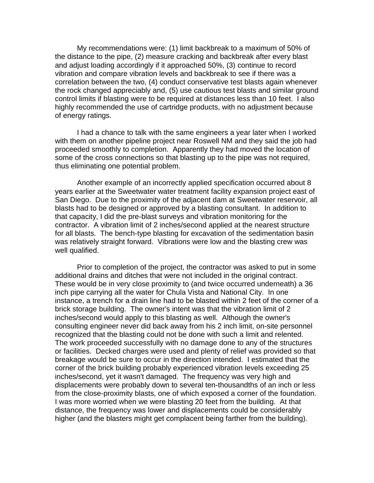My recommendations were: (1) limit backbreak to a maximum of 50% of the distance to the pipe, (2) measure cracking and backbreak after every blast and adjust loading accordingly if it approached 50%, (3) continue to record vibration and compare vibration levels and backbreak to see if there was a correlation between the two, (4) conduct conservative test blasts again whenever the rock changed appreciably and, (5) use cautious test blasts and similar ground control limits if blasting were to be required at distances less than 10 feet. I also highly recommended the use of cartridge products, with no adjustment because of energy ratings.

I had a chance to talk with the same engineers a year later when I worked with them on another pipeline project near Roswell NM and they said the job had proceeded smoothly to completion. Apparently they had moved the location of some of the cross connections so that blasting up to the pipe was not required, thus eliminating one potential problem.

Another example of an incorrectly applied specification occurred about 8 years earlier at the Sweetwater water treatment facility expansion project east of San Diego. Due to the proximity of the adjacent dam at Sweetwater reservoir, all blasts had to be designed or approved by a blasting consultant. In addition to that capacity, I did the pre-blast surveys and vibration monitoring for the contractor. A vibration limit of 2 inches/second applied at the nearest structure for all blasts. The bench-type blasting for excavation of the sedimentation basin was relatively straight forward. Vibrations were low and the blasting crew was well qualified.

Prior to completion of the project, the contractor was asked to put in some additional drains and ditches that were not included in the original contract. These would be in very close proximity to (and twice occurred underneath) a 36 inch pipe carrying all the water for Chula Vista and National City. In one instance, a trench for a drain line had to be blasted within 2 feet of the corner of a brick storage building. The owner's intent was that the vibration limit of 2 inches/second would apply to this blasting as well. Although the owner's consulting engineer never did back away from his 2 inch limit, on-site personnel recognized that the blasting could not be done with such a limit and relented. The work proceeded successfully with no damage done to any of the structures or facilities. Decked charges were used and plenty of relief was provided so that breakage would be sure to occur in the direction intended. I estimated that the corner of the brick building probably experienced vibration levels exceeding 25 inches/second, yet it wasn't damaged. The frequency was very high and displacements were probably down to several ten-thousandths of an inch or less from the close-proximity blasts, one of which exposed a corner of the foundation. I was more worried when we were blasting 20 feet from the building. At that distance, the frequency was lower and displacements could be considerably higher (and the blasters might get complacent being farther from the building).